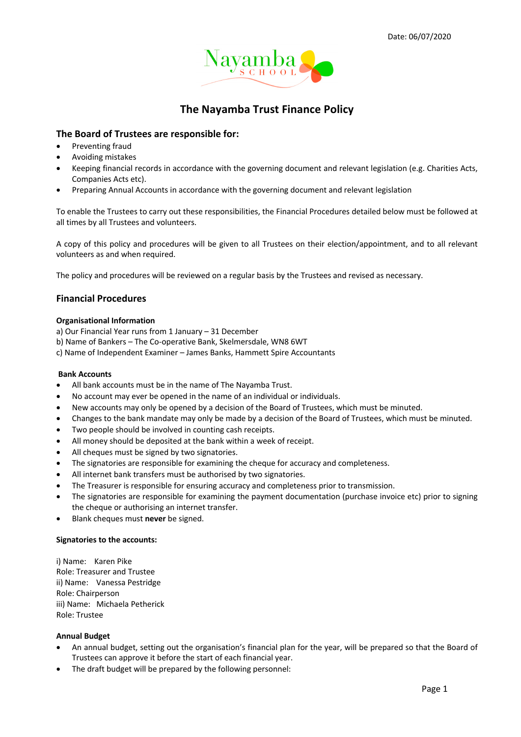

# **The Nayamba Trust Finance Policy**

# **The Board of Trustees are responsible for:**

- Preventing fraud
- Avoiding mistakes
- Keeping financial records in accordance with the governing document and relevant legislation (e.g. Charities Acts, Companies Acts etc).
- Preparing Annual Accounts in accordance with the governing document and relevant legislation

To enable the Trustees to carry out these responsibilities, the Financial Procedures detailed below must be followed at all times by all Trustees and volunteers.

A copy of this policy and procedures will be given to all Trustees on their election/appointment, and to all relevant volunteers as and when required.

The policy and procedures will be reviewed on a regular basis by the Trustees and revised as necessary.

# **Financial Procedures**

#### **Organisational Information**

- a) Our Financial Year runs from 1 January 31 December
- b) Name of Bankers The Co-operative Bank, Skelmersdale, WN8 6WT
- c) Name of Independent Examiner James Banks, Hammett Spire Accountants

#### **Bank Accounts**

- All bank accounts must be in the name of The Nayamba Trust.
- No account may ever be opened in the name of an individual or individuals.
- New accounts may only be opened by a decision of the Board of Trustees, which must be minuted.
- Changes to the bank mandate may only be made by a decision of the Board of Trustees, which must be minuted.
- Two people should be involved in counting cash receipts.
- All money should be deposited at the bank within a week of receipt.
- All cheques must be signed by two signatories.
- The signatories are responsible for examining the cheque for accuracy and completeness.
- All internet bank transfers must be authorised by two signatories.
- The Treasurer is responsible for ensuring accuracy and completeness prior to transmission.
- The signatories are responsible for examining the payment documentation (purchase invoice etc) prior to signing the cheque or authorising an internet transfer.
- Blank cheques must **never** be signed.

#### **Signatories to the accounts:**

i) Name: Karen Pike Role: Treasurer and Trustee ii) Name: Vanessa Pestridge Role: Chairperson iii) Name: Michaela Petherick Role: Trustee

#### **Annual Budget**

- An annual budget, setting out the organisation's financial plan for the year, will be prepared so that the Board of Trustees can approve it before the start of each financial year.
- The draft budget will be prepared by the following personnel: